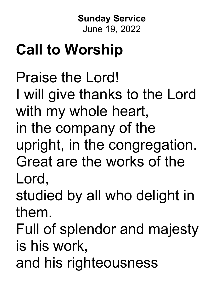**Sunday Service** June 19, 2022

# **Call to Worship**

Praise the Lord! I will give thanks to the Lord with my whole heart, in the company of the upright, in the congregation. Great are the works of the Lord, studied by all who delight in

them.

Full of splendor and majesty is his work,

and his righteousness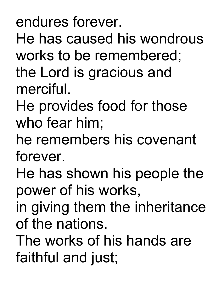endures forever. He has caused his wondrous works to be remembered; the Lord is gracious and merciful.

He provides food for those who fear him;

he remembers his covenant forever.

He has shown his people the power of his works,

in giving them the inheritance of the nations.

The works of his hands are faithful and just;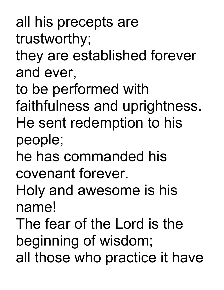# all his precepts are trustworthy;

- they are established forever and ever,
- to be performed with
- faithfulness and uprightness. He sent redemption to his people;
- he has commanded his covenant forever.
- Holy and awesome is his name!
- The fear of the Lord is the beginning of wisdom; all those who practice it have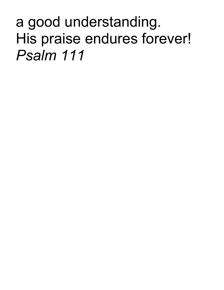a good understanding. His praise endures forever! *Psalm 111*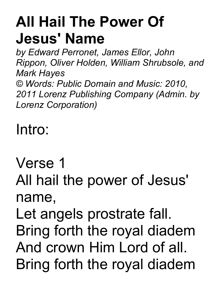# **All Hail The Power Of Jesus' Name**

*by Edward Perronet, James Ellor, John Rippon, Oliver Holden, William Shrubsole, and Mark Hayes © Words: Public Domain and Music: 2010, 2011 Lorenz Publishing Company (Admin. by Lorenz Corporation)*

#### Intro:

# Verse 1 All hail the power of Jesus' name,

Let angels prostrate fall. Bring forth the royal diadem And crown Him Lord of all. Bring forth the royal diadem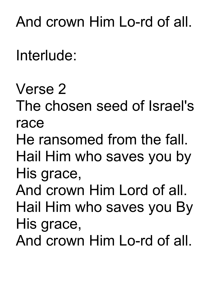And crown Him Lo-rd of all.

Interlude:

Verse 2 The chosen seed of Israel's race

He ransomed from the fall. Hail Him who saves you by His grace,

And crown Him Lord of all. Hail Him who saves you By His grace,

And crown Him Lo-rd of all.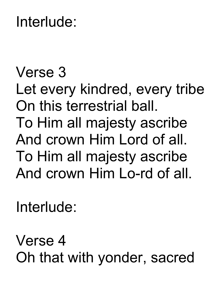#### Interlude:

#### Verse 3

Let every kindred, every tribe On this terrestrial ball. To Him all majesty ascribe And crown Him Lord of all.

To Him all majesty ascribe And crown Him Lo-rd of all.

Interlude:

Verse 4 Oh that with yonder, sacred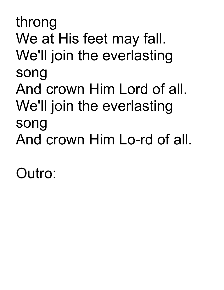# throng We at His feet may fall. We'll join the everlasting song And crown Him Lord of all. We'll join the everlasting song And crown Him Lo-rd of all.

Outro: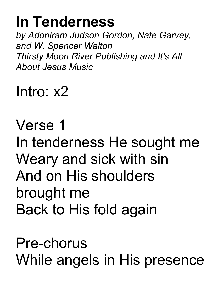## **In Tenderness**

*by Adoniram Judson Gordon, Nate Garvey, and W. Spencer Walton Thirsty Moon River Publishing and It's All About Jesus Music*

#### Intro: x2

# Verse 1 In tenderness He sought me Weary and sick with sin And on His shoulders brought me Back to His fold again

Pre-chorus While angels in His presence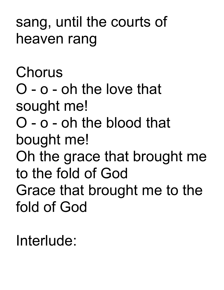#### sang, until the courts of heaven rang

Chorus O - o - oh the love that sought me! O - o - oh the blood that bought me! Oh the grace that brought me to the fold of God Grace that brought me to the fold of God

Interlude: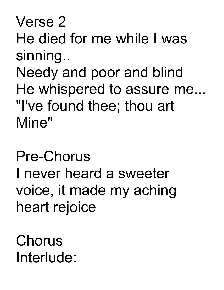Verse 2 He died for me while I was sinning.. Needy and poor and blind He whispered to assure me... "I've found thee; thou art Mine"

Pre-Chorus I never heard a sweeter voice, it made my aching heart rejoice

Chorus Interlude: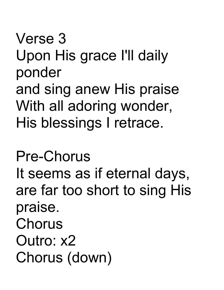#### Verse 3 Upon His grace I'll daily ponder and sing anew His praise With all adoring wonder, His blessings I retrace.

Pre-Chorus It seems as if eternal days, are far too short to sing His praise. Chorus Outro: x2 Chorus (down)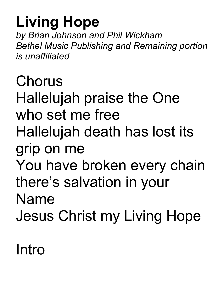# **Living Hope**

*by Brian Johnson and Phil Wickham Bethel Music Publishing and Remaining portion is unaffiliated*

Chorus Hallelujah praise the One who set me free Hallelujah death has lost its grip on me You have broken every chain there's salvation in your Name Jesus Christ my Living Hope

Intro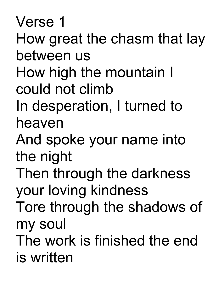Verse 1 How great the chasm that lay between us How high the mountain I could not climb In desperation, I turned to heaven And spoke your name into the night Then through the darkness your loving kindness Tore through the shadows of my soul

The work is finished the end is written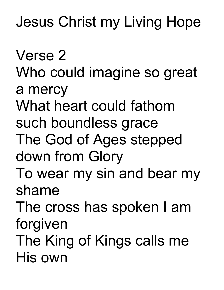# Jesus Christ my Living Hope

Verse 2 Who could imagine so great a mercy What heart could fathom such boundless grace The God of Ages stepped down from Glory To wear my sin and bear my shame The cross has spoken I am forgiven The King of Kings calls me His own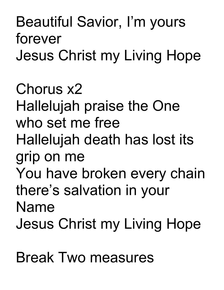# Beautiful Savior, I'm yours forever Jesus Christ my Living Hope

Chorus x2 Hallelujah praise the One who set me free Hallelujah death has lost its grip on me You have broken every chain there's salvation in your Name Jesus Christ my Living Hope

Break Two measures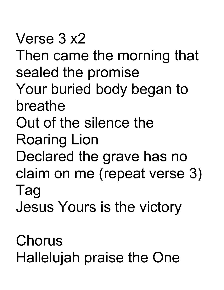# Verse 3 x2

Then came the morning that sealed the promise Your buried body began to breathe Out of the silence the Roaring Lion Declared the grave has no claim on me (repeat verse 3) Tag Jesus Yours is the victory

Chorus Hallelujah praise the One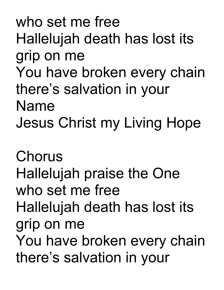who set me free Hallelujah death has lost its grip on me You have broken every chain there's salvation in your Name Jesus Christ my Living Hope

Chorus Hallelujah praise the One who set me free Hallelujah death has lost its grip on me You have broken every chain there's salvation in your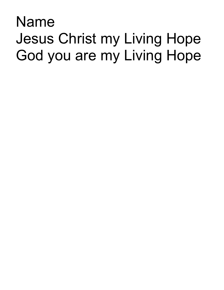#### Name Jesus Christ my Living Hope God you are my Living Hope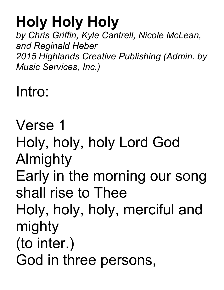# **Holy Holy Holy**

*by Chris Griffin, Kyle Cantrell, Nicole McLean, and Reginald Heber 2015 Highlands Creative Publishing (Admin. by Music Services, Inc.)*

#### Intro:

Verse 1 Holy, holy, holy Lord God Almighty Early in the morning our song shall rise to Thee Holy, holy, holy, merciful and mighty (to inter.) God in three persons,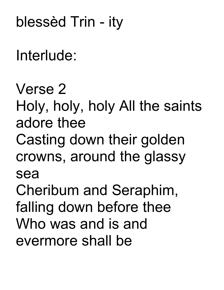blessèd Trin - ity

Interlude:

Verse 2 Holy, holy, holy All the saints adore thee Casting down their golden crowns, around the glassy sea Cheribum and Seraphim, falling down before thee Who was and is and evermore shall be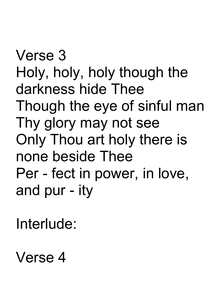Verse 3 Holy, holy, holy though the darkness hide Thee Though the eye of sinful man Thy glory may not see Only Thou art holy there is none beside Thee Per - fect in power, in love, and pur - ity

Interlude:

Verse 4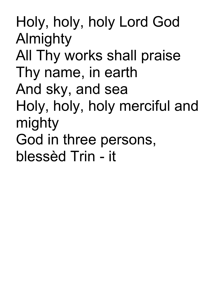Holy, holy, holy Lord God Almighty

All Thy works shall praise Thy name, in earth And sky, and sea Holy, holy, holy merciful and mighty God in three persons, blessèd Trin - it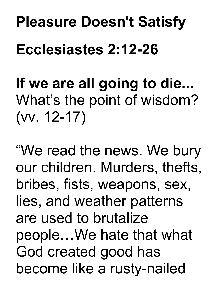# **Pleasure Doesn't Satisfy**

# **Ecclesiastes 2:12-26**

**If we are all going to die...** What's the point of wisdom? (vv. 12-17)

"We read the news. We bury our children. Murders, thefts, bribes, fists, weapons, sex, lies, and weather patterns are used to brutalize people…We hate that what God created good has become like a rusty-nailed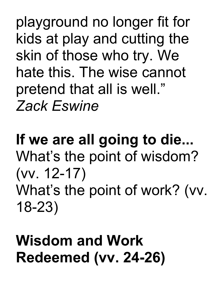playground no longer fit for kids at play and cutting the skin of those who try. We hate this. The wise cannot pretend that all is well." *Zack Eswine*

**If we are all going to die...** What's the point of wisdom? (vv. 12-17) What's the point of work? (vv. 18-23)

# **Wisdom and Work Redeemed (vv. 24-26)**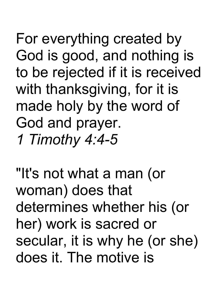For everything created by God is good, and nothing is to be rejected if it is received with thanksgiving, for it is made holy by the word of God and prayer. *1 Timothy 4:4-5*

"It's not what a man (or woman) does that determines whether his (or her) work is sacred or secular, it is why he (or she) does it. The motive is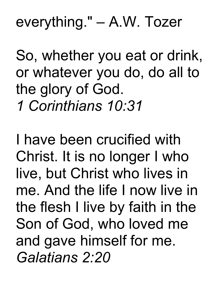everything." – A.W. Tozer

So, whether you eat or drink, or whatever you do, do all to the glory of God. *1 Corinthians 10:31*

I have been crucified with Christ. It is no longer I who live, but Christ who lives in me. And the life I now live in the flesh I live by faith in the Son of God, who loved me and gave himself for me. *Galatians 2:20*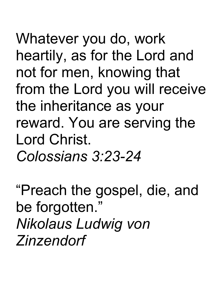Whatever you do, work heartily, as for the Lord and not for men, knowing that from the Lord you will receive the inheritance as your reward. You are serving the Lord Christ.

*Colossians 3:23-24*

"Preach the gospel, die, and be forgotten." *Nikolaus Ludwig von Zinzendorf*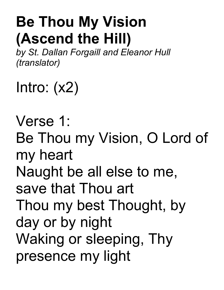# **Be Thou My Vision (Ascend the Hill)**

*by St. Dallan Forgaill and Eleanor Hull (translator)*

Intro: (x2)

Verse 1: Be Thou my Vision, O Lord of my heart Naught be all else to me, save that Thou art Thou my best Thought, by day or by night Waking or sleeping, Thy presence my light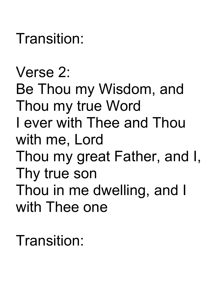## Transition:

```
Verse 2:
Be Thou my Wisdom, and
Thou my true Word
I ever with Thee and Thou
with me, Lord
Thou my great Father, and I,
Thy true son
Thou in me dwelling, and I
with Thee one
```
Transition: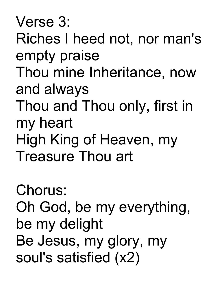Verse 3: Riches I heed not, nor man's empty praise Thou mine Inheritance, now and always Thou and Thou only, first in my heart High King of Heaven, my Treasure Thou art

Chorus: Oh God, be my everything, be my delight Be Jesus, my glory, my soul's satisfied (x2)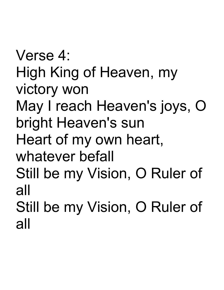Verse 4: High King of Heaven, my victory won May I reach Heaven's joys, O bright Heaven's sun Heart of my own heart, whatever befall Still be my Vision, O Ruler of all Still be my Vision, O Ruler of all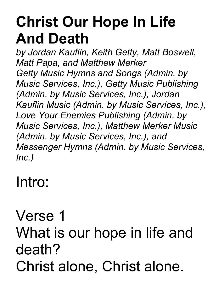# **Christ Our Hope In Life And Death**

*by Jordan Kauflin, Keith Getty, Matt Boswell, Matt Papa, and Matthew Merker Getty Music Hymns and Songs (Admin. by Music Services, Inc.), Getty Music Publishing (Admin. by Music Services, Inc.), Jordan Kauflin Music (Admin. by Music Services, Inc.), Love Your Enemies Publishing (Admin. by Music Services, Inc.), Matthew Merker Music (Admin. by Music Services, Inc.), and Messenger Hymns (Admin. by Music Services, Inc.)*

# Intro:

# Verse 1

What is our hope in life and death?

Christ alone, Christ alone.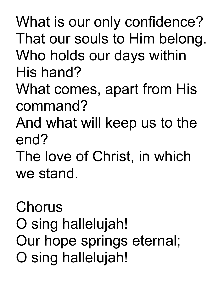What is our only confidence? That our souls to Him belong. Who holds our days within His hand? What comes, apart from His command?

- And what will keep us to the end?
- The love of Christ, in which we stand.

Chorus O sing hallelujah! Our hope springs eternal; O sing hallelujah!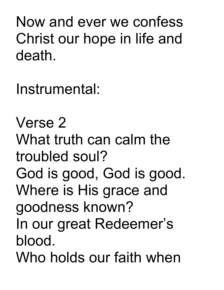Now and ever we confess Christ our hope in life and death.

Instrumental:

Verse 2 What truth can calm the troubled soul? God is good, God is good. Where is His grace and goodness known? In our great Redeemer's blood. Who holds our faith when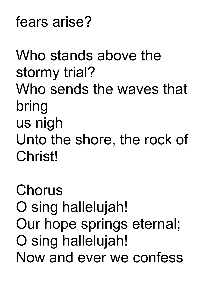#### fears arise?

Who stands above the stormy trial? Who sends the waves that bring us nigh Unto the shore, the rock of Christ!

Chorus O sing hallelujah! Our hope springs eternal; O sing hallelujah! Now and ever we confess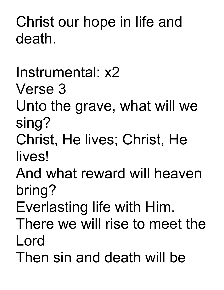Christ our hope in life and death.

Instrumental: x2 Verse 3 Unto the grave, what will we sing? Christ, He lives; Christ, He lives! And what reward will heaven bring? Everlasting life with Him. There we will rise to meet the Lord Then sin and death will be